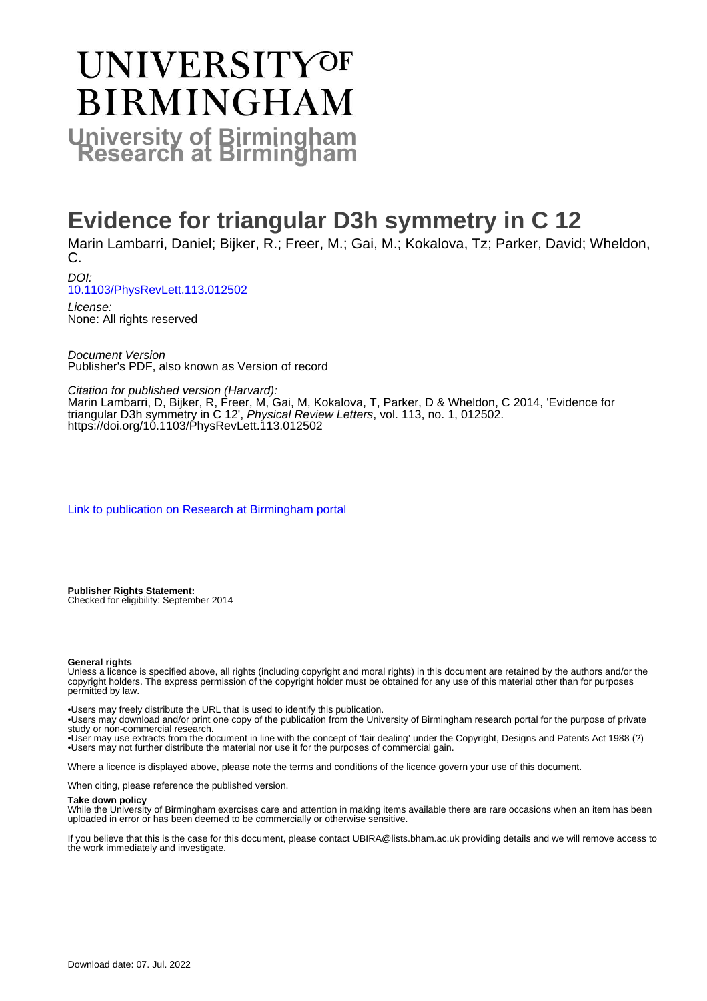# UNIVERSITYOF **BIRMINGHAM University of Birmingham**

## **Evidence for triangular D3h symmetry in C 12**

Marin Lambarri, Daniel; Bijker, R.; Freer, M.; Gai, M.; Kokalova, Tz; Parker, David; Wheldon, C.

DOI: [10.1103/PhysRevLett.113.012502](https://doi.org/10.1103/PhysRevLett.113.012502)

License: None: All rights reserved

Document Version Publisher's PDF, also known as Version of record

Citation for published version (Harvard):

Marin Lambarri, D, Bijker, R, Freer, M, Gai, M, Kokalova, T, Parker, D & Wheldon, C 2014, 'Evidence for triangular D3h symmetry in C 12', Physical Review Letters, vol. 113, no. 1, 012502. <https://doi.org/10.1103/PhysRevLett.113.012502>

[Link to publication on Research at Birmingham portal](https://birmingham.elsevierpure.com/en/publications/2349d573-9bed-4f5b-ba39-cd019615ba67)

**Publisher Rights Statement:** Checked for eligibility: September 2014

#### **General rights**

Unless a licence is specified above, all rights (including copyright and moral rights) in this document are retained by the authors and/or the copyright holders. The express permission of the copyright holder must be obtained for any use of this material other than for purposes permitted by law.

• Users may freely distribute the URL that is used to identify this publication.

• Users may download and/or print one copy of the publication from the University of Birmingham research portal for the purpose of private study or non-commercial research.

• User may use extracts from the document in line with the concept of 'fair dealing' under the Copyright, Designs and Patents Act 1988 (?) • Users may not further distribute the material nor use it for the purposes of commercial gain.

Where a licence is displayed above, please note the terms and conditions of the licence govern your use of this document.

When citing, please reference the published version.

#### **Take down policy**

While the University of Birmingham exercises care and attention in making items available there are rare occasions when an item has been uploaded in error or has been deemed to be commercially or otherwise sensitive.

If you believe that this is the case for this document, please contact UBIRA@lists.bham.ac.uk providing details and we will remove access to the work immediately and investigate.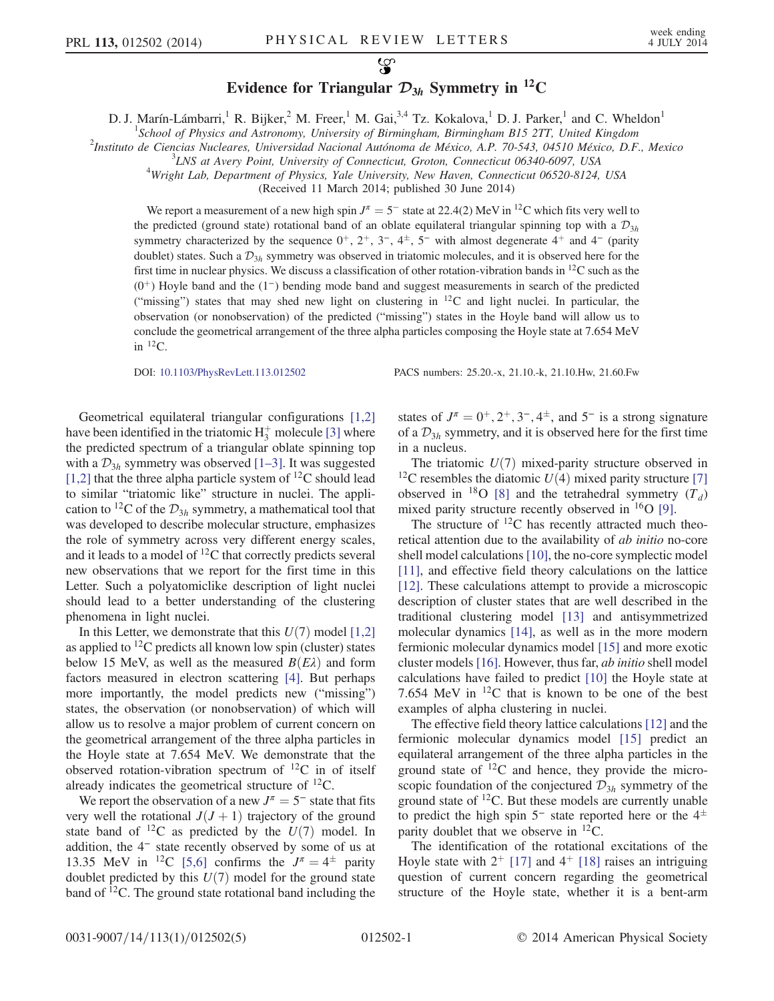### $\mathcal{L}$ Evidence for Triangular  $\mathcal{D}_{3h}$  Symmetry in <sup>12</sup>C

D. J. Marín-Lámbarri,<sup>1</sup> R. Bijker,<sup>2</sup> M. Freer,<sup>1</sup> M. Gai,<sup>3,4</sup> Tz. Kokalova,<sup>1</sup> D. J. Parker,<sup>1</sup> and C. Wheldon<sup>1</sup>

<sup>1</sup>School of Physics and Astronomy, University of Birmingham, Birmingham B15 2TT, United Kingdom<br><sup>2</sup>Institute de Giovaise Nucleares, Universidad Nacional Autónoma de México, A.B. 70,542,04510 México, D.E.

 $^{2}$ Instituto de Ciencias Nucleares, Universidad Nacional Autónoma de México, A.P. 70-543, 04510 México, D.F., Mexico

 $^{3}$ LNS at Avery Point, University of Connecticut, Groton, Connecticut 06340-6097, USA

Wright Lab, Department of Physics, Yale University, New Haven, Connecticut 06520-8124, USA

(Received 11 March 2014; published 30 June 2014)

We report a measurement of a new high spin  $J^{\pi} = 5^-$  state at 22.4(2) MeV in <sup>12</sup>C which fits very well to the predicted (ground state) rotational band of an oblate equilateral triangular spinning top with a  $\mathcal{D}_{3h}$ symmetry characterized by the sequence  $0^+, 2^+, 3^-, 4^+, 5^-$  with almost degenerate  $4^+$  and  $4^-$  (parity doublet) states. Such a  $\mathcal{D}_{3h}$  symmetry was observed in triatomic molecules, and it is observed here for the first time in nuclear physics. We discuss a classification of other rotation-vibration bands in <sup>12</sup>C such as the  $(0<sup>+</sup>)$  Hoyle band and the  $(1<sup>-</sup>)$  bending mode band and suggest measurements in search of the predicted ("missing") states that may shed new light on clustering in  $12^{\circ}$ C and light nuclei. In particular, the observation (or nonobservation) of the predicted ("missing") states in the Hoyle band will allow us to conclude the geometrical arrangement of the three alpha particles composing the Hoyle state at 7.654 MeV in  ${}^{12}C$ .

DOI: [10.1103/PhysRevLett.113.012502](http://dx.doi.org/10.1103/PhysRevLett.113.012502) PACS numbers: 25.20.-x, 21.10.-k, 21.10.Hw, 21.60.Fw

Geometrical equilateral triangular configurations [\[1,2\]](#page-5-0) have been identified in the triatomic  $H_3^+$  molecule [\[3\]](#page-5-1) where the predicted spectrum of a triangular oblate spinning top with a  $\mathcal{D}_{3h}$  symmetry was observed [1–[3\].](#page-5-0) It was suggested [\[1,2\]](#page-5-0) that the three alpha particle system of  $^{12}$ C should lead to similar "triatomic like" structure in nuclei. The application to <sup>12</sup>C of the  $\mathcal{D}_{3h}$  symmetry, a mathematical tool that was developed to describe molecular structure, emphasizes the role of symmetry across very different energy scales, and it leads to a model of  ${}^{12}C$  that correctly predicts several new observations that we report for the first time in this Letter. Such a polyatomiclike description of light nuclei should lead to a better understanding of the clustering phenomena in light nuclei.

In this Letter, we demonstrate that this  $U(7)$  model [\[1,2\]](#page-5-0) as applied to  ${}^{12}C$  predicts all known low spin (cluster) states below 15 MeV, as well as the measured  $B(E\lambda)$  and form factors measured in electron scattering [\[4\]](#page-5-2). But perhaps more importantly, the model predicts new ("missing") states, the observation (or nonobservation) of which will allow us to resolve a major problem of current concern on the geometrical arrangement of the three alpha particles in the Hoyle state at 7.654 MeV. We demonstrate that the observed rotation-vibration spectrum of  $^{12}C$  in of itself already indicates the geometrical structure of <sup>12</sup>C.

We report the observation of a new  $J^{\pi} = 5^-$  state that fits very well the rotational  $J(J + 1)$  trajectory of the ground state band of <sup>12</sup>C as predicted by the  $U(7)$  model. In addition, the 4<sup>−</sup> state recently observed by some of us at 13.35 MeV in <sup>12</sup>C [\[5,6\]](#page-5-3) confirms the  $J^{\pi} = 4^{\pm}$  parity doublet predicted by this  $U(7)$  model for the ground state band of <sup>12</sup>C. The ground state rotational band including the states of  $J^{\pi} = 0^{+}$ ,  $2^{+}$ ,  $3^{-}$ ,  $4^{\pm}$ , and  $5^{-}$  is a strong signature of a  $\mathcal{D}_{3h}$  symmetry, and it is observed here for the first time in a nucleus.

The triatomic  $U(7)$  mixed-parity structure observed in <sup>12</sup>C resembles the diatomic  $U(4)$  mixed parity structure [\[7\]](#page-5-4) observed in <sup>18</sup>O [\[8\]](#page-5-5) and the tetrahedral symmetry  $(T_d)$ mixed parity structure recently observed in  $^{16}O$  [\[9\]](#page-5-6).

The structure of  ${}^{12}C$  has recently attracted much theoretical attention due to the availability of ab initio no-core shell model calculations [\[10\],](#page-5-7) the no-core symplectic model [\[11\]](#page-5-8), and effective field theory calculations on the lattice [\[12\]](#page-5-9). These calculations attempt to provide a microscopic description of cluster states that are well described in the traditional clustering model [\[13\]](#page-5-10) and antisymmetrized molecular dynamics [\[14\]](#page-5-11), as well as in the more modern fermionic molecular dynamics model [\[15\]](#page-5-12) and more exotic cluster models [\[16\]](#page-5-13). However, thus far, ab initio shell model calculations have failed to predict [\[10\]](#page-5-7) the Hoyle state at 7.654 MeV in  $^{12}$ C that is known to be one of the best examples of alpha clustering in nuclei.

The effective field theory lattice calculations [\[12\]](#page-5-9) and the fermionic molecular dynamics model [\[15\]](#page-5-12) predict an equilateral arrangement of the three alpha particles in the ground state of  $^{12}C$  and hence, they provide the microscopic foundation of the conjectured  $\mathcal{D}_{3h}$  symmetry of the ground state of  ${}^{12}C$ . But these models are currently unable to predict the high spin 5<sup>−</sup> state reported here or the  $4<sup>±</sup>$ parity doublet that we observe in  ${}^{12}C$ .

The identification of the rotational excitations of the Hoyle state with  $2^+$  [\[17\]](#page-5-14) and  $4^+$  [\[18\]](#page-5-15) raises an intriguing question of current concern regarding the geometrical structure of the Hoyle state, whether it is a bent-arm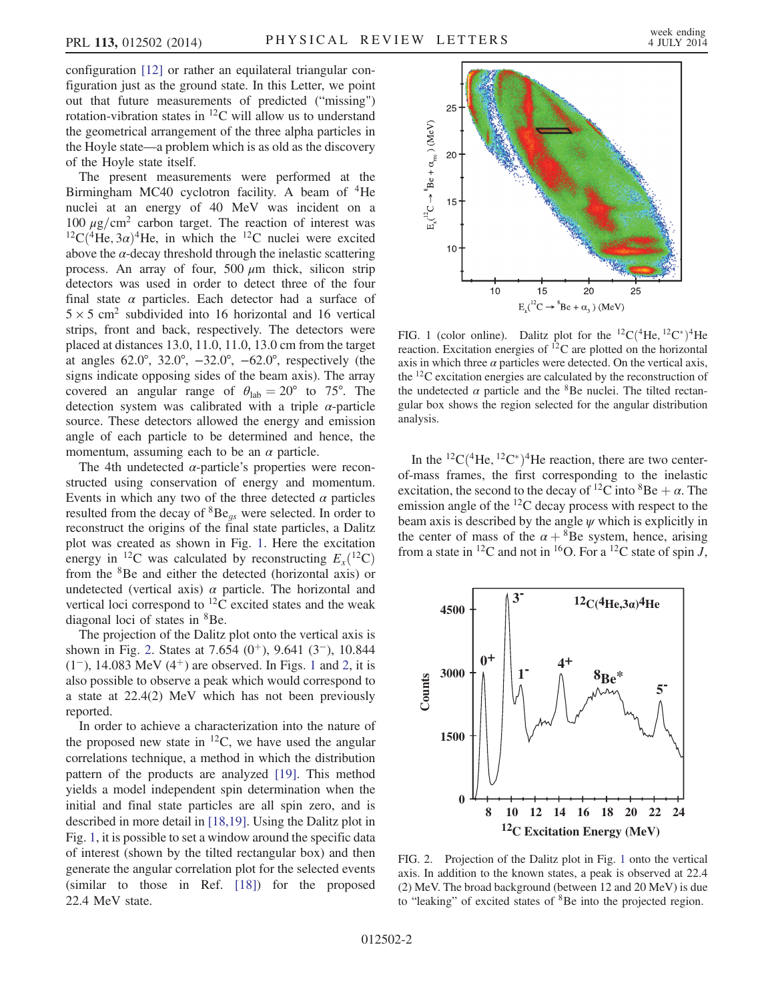configuration [\[12\]](#page-5-9) or rather an equilateral triangular configuration just as the ground state. In this Letter, we point out that future measurements of predicted ("missing") rotation-vibration states in  ${}^{12}$ C will allow us to understand the geometrical arrangement of the three alpha particles in the Hoyle state—a problem which is as old as the discovery of the Hoyle state itself.

The present measurements were performed at the Birmingham MC40 cyclotron facility. A beam of <sup>4</sup>He nuclei at an energy of 40 MeV was incident on a 100  $\mu$ g/cm<sup>2</sup> carbon target. The reaction of interest was  ${}^{12}C({}^{4}He, 3\alpha){}^{4}He$ , in which the  ${}^{12}C$  nuclei were excited above the  $\alpha$ -decay threshold through the inelastic scattering process. An array of four,  $500 \mu m$  thick, silicon strip detectors was used in order to detect three of the four final state  $\alpha$  particles. Each detector had a surface of  $5 \times 5$  cm<sup>2</sup> subdivided into 16 horizontal and 16 vertical strips, front and back, respectively. The detectors were placed at distances 13.0, 11.0, 11.0, 13.0 cm from the target at angles 62.0°, 32.0°, −32.0°, −62.0°, respectively (the signs indicate opposing sides of the beam axis). The array covered an angular range of  $\theta_{\rm lab} = 20^{\circ}$  to 75°. The detection system was calibrated with a triple  $\alpha$ -particle source. These detectors allowed the energy and emission angle of each particle to be determined and hence, the momentum, assuming each to be an  $\alpha$  particle.

The 4th undetected  $\alpha$ -particle's properties were reconstructed using conservation of energy and momentum. Events in which any two of the three detected  $\alpha$  particles resulted from the decay of  ${}^{8}Be_{qs}$  were selected. In order to reconstruct the origins of the final state particles, a Dalitz plot was created as shown in Fig. [1.](#page-2-0) Here the excitation energy in <sup>12</sup>C was calculated by reconstructing  $E_x(^{12}C)$ from the <sup>8</sup>Be and either the detected (horizontal axis) or undetected (vertical axis)  $\alpha$  particle. The horizontal and vertical loci correspond to <sup>12</sup>C excited states and the weak diagonal loci of states in <sup>8</sup>Be.

The projection of the Dalitz plot onto the vertical axis is shown in Fig. [2.](#page-2-1) States at 7.654  $(0<sup>+</sup>)$ , 9.641  $(3<sup>-</sup>)$ , 10.844 ([1](#page-2-0)<sup>-</sup>), 14.083 MeV (4<sup>+</sup>) are observed. In Figs. 1 and [2](#page-2-1), it is also possible to observe a peak which would correspond to a state at 22.4(2) MeV which has not been previously reported.

In order to achieve a characterization into the nature of the proposed new state in  ${}^{12}C$ , we have used the angular correlations technique, a method in which the distribution pattern of the products are analyzed [\[19\].](#page-5-16) This method yields a model independent spin determination when the initial and final state particles are all spin zero, and is described in more detail in [\[18,19\].](#page-5-15) Using the Dalitz plot in Fig. [1,](#page-2-0) it is possible to set a window around the specific data of interest (shown by the tilted rectangular box) and then generate the angular correlation plot for the selected events (similar to those in Ref. [\[18\]](#page-5-15)) for the proposed 22.4 MeV state.

<span id="page-2-0"></span>

FIG. 1 (color online). Dalitz plot for the <sup>12</sup>C(<sup>4</sup>He, <sup>12</sup>C<sup>\*</sup>)<sup>4</sup>He reaction. Excitation energies of  ${}^{12}C$  are plotted on the horizontal axis in which three  $\alpha$  particles were detected. On the vertical axis, the  $^{12}$ C excitation energies are calculated by the reconstruction of the undetected  $\alpha$  particle and the <sup>8</sup>Be nuclei. The tilted rectangular box shows the region selected for the angular distribution analysis.

In the <sup>12</sup>C(<sup>4</sup>He, <sup>12</sup>C<sup>\*</sup>)<sup>4</sup>He reaction, there are two centerof-mass frames, the first corresponding to the inelastic excitation, the second to the decay of <sup>12</sup>C into  ${}^{8}Be + \alpha$ . The emission angle of the <sup>12</sup>C decay process with respect to the beam axis is described by the angle  $\psi$  which is explicitly in the center of mass of the  $\alpha + \delta B$ e system, hence, arising from a state in <sup>12</sup>C and not in <sup>16</sup>O. For a <sup>12</sup>C state of spin *J*,

<span id="page-2-1"></span>

FIG. 2. Projection of the Dalitz plot in Fig. [1](#page-2-0) onto the vertical axis. In addition to the known states, a peak is observed at 22.4 (2) MeV. The broad background (between 12 and 20 MeV) is due to "leaking" of excited states of <sup>8</sup>Be into the projected region.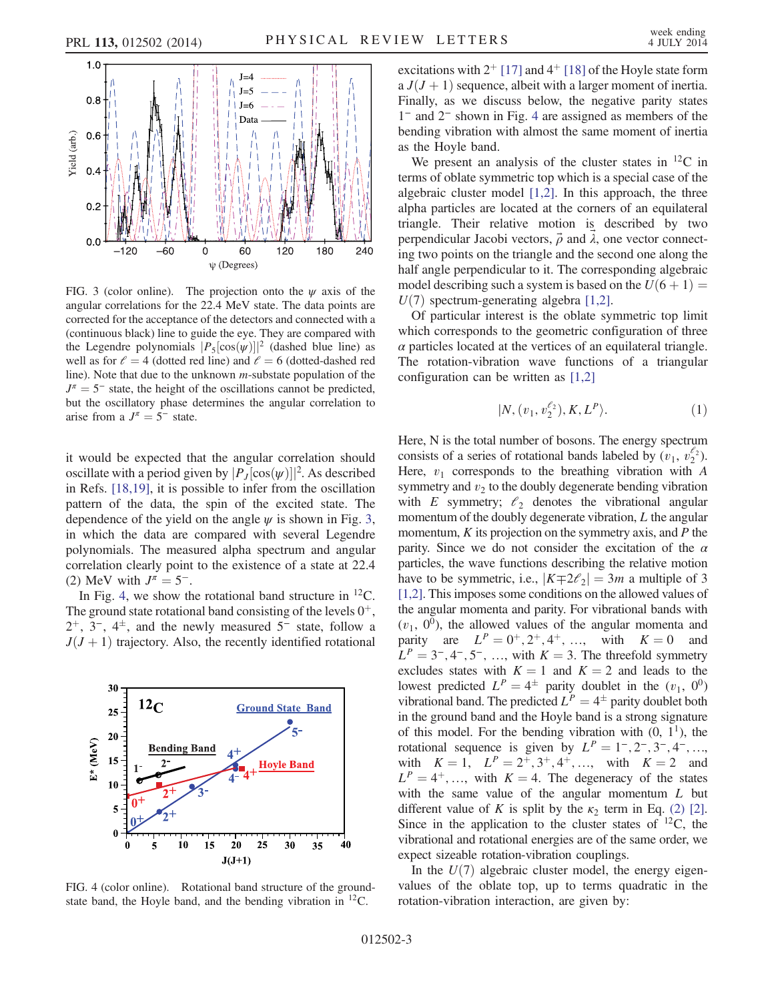<span id="page-3-0"></span>

FIG. 3 (color online). The projection onto the  $\psi$  axis of the angular correlations for the 22.4 MeV state. The data points are corrected for the acceptance of the detectors and connected with a (continuous black) line to guide the eye. They are compared with the Legendre polynomials  $|P_5|\cos(\psi)|^2$  (dashed blue line) as well as for  $\ell = 4$  (dotted red line) and  $\ell = 6$  (dotted-dashed red line). Note that due to the unknown m-substate population of the  $J^{\pi} = 5^-$  state, the height of the oscillations cannot be predicted, but the oscillatory phase determines the angular correlation to arise from a  $J^{\pi} = 5^-$  state.

it would be expected that the angular correlation should oscillate with a period given by  $|P_J[\cos(\psi)]|^2$ . As described in Refs. [\[18,19\],](#page-5-15) it is possible to infer from the oscillation pattern of the data, the spin of the excited state. The dependence of the yield on the angle  $\psi$  is shown in Fig. [3](#page-3-0), in which the data are compared with several Legendre polynomials. The measured alpha spectrum and angular correlation clearly point to the existence of a state at 22.4 (2) MeV with  $J^{\pi} = 5^{-}$ .

In Fig. [4,](#page-3-1) we show the rotational band structure in  ${}^{12}C$ . The ground state rotational band consisting of the levels  $0^+$ ,  $2^+$ ,  $3^-$ ,  $4^{\pm}$ , and the newly measured  $5^-$  state, follow a  $J(J + 1)$  trajectory. Also, the recently identified rotational

<span id="page-3-1"></span>

FIG. 4 (color online). Rotational band structure of the groundstate band, the Hoyle band, and the bending vibration in  $^{12}$ C.

excitations with  $2^{+}$  [\[17\]](#page-5-14) and  $4^{+}$  [\[18\]](#page-5-15) of the Hoyle state form a  $J(J + 1)$  sequence, albeit with a larger moment of inertia. Finally, as we discuss below, the negative parity states 1<sup>−</sup> and 2<sup>−</sup> shown in Fig. [4](#page-3-1) are assigned as members of the bending vibration with almost the same moment of inertia as the Hoyle band.

We present an analysis of the cluster states in  $^{12}C$  in terms of oblate symmetric top which is a special case of the algebraic cluster model [\[1,2\].](#page-5-0) In this approach, the three alpha particles are located at the corners of an equilateral triangle. Their relative motion is described by two perpendicular Jacobi vectors,  $\vec{\rho}$  and  $\lambda$ , one vector connecting two points on the triangle and the second one along the half angle perpendicular to it. The corresponding algebraic model describing such a system is based on the  $U(6 + 1) =$  $U(7)$  spectrum-generating algebra [\[1,2\].](#page-5-0)

Of particular interest is the oblate symmetric top limit which corresponds to the geometric configuration of three  $\alpha$  particles located at the vertices of an equilateral triangle. The rotation-vibration wave functions of a triangular configuration can be written as [\[1,2\]](#page-5-0)

$$
|N,(v_1,v_2^{\ell_2}),K,L^P\rangle.
$$
 (1)

Here, N is the total number of bosons. The energy spectrum consists of a series of rotational bands labeled by  $(v_1, v_2^{\ell_2})$ . Here,  $v_1$  corresponds to the breathing vibration with A symmetry and  $v_2$  to the doubly degenerate bending vibration with E symmetry;  $\ell_2$  denotes the vibrational angular momentum of the doubly degenerate vibration, L the angular momentum,  $K$  its projection on the symmetry axis, and  $P$  the parity. Since we do not consider the excitation of the  $\alpha$ particles, the wave functions describing the relative motion have to be symmetric, i.e.,  $|K \mp 2\ell_2| = 3m$  a multiple of 3 [\[1,2\]](#page-5-0). This imposes some conditions on the allowed values of the angular momenta and parity. For vibrational bands with  $(v_1, 0^0)$ , the allowed values of the angular momenta and parity are  $L^P = 0^+, 2^+, 4^+, ...,$  with  $K = 0$  and  $L^P = 3^-, 4^-, 5^-, \dots$ , with  $K = 3$ . The threefold symmetry excludes states with  $K = 1$  and  $K = 2$  and leads to the lowest predicted  $L^P = 4^{\pm}$  parity doublet in the  $(v_1, 0^0)$ vibrational band. The predicted  $L^P = 4^{\pm}$  parity doublet both in the ground band and the Hoyle band is a strong signature of this model. For the bending vibration with  $(0, 1^1)$ , the rotational sequence is given by  $L^P = 1^-, 2^-, 3^-, 4^-, \ldots,$ with  $K = 1$ ,  $L^P = 2^+, 3^+, 4^+, \dots$ , with  $K = 2$  and  $L^P = 4^+$ , …, with  $K = 4$ . The degeneracy of the states with the same value of the angular momentum  $L$  but different value of K is split by the  $\kappa_2$  term in Eq. [\(2\)](#page-3-2) [\[2\]](#page-5-17). Since in the application to the cluster states of  $^{12}C$ , the vibrational and rotational energies are of the same order, we expect sizeable rotation-vibration couplings.

<span id="page-3-2"></span>In the  $U(7)$  algebraic cluster model, the energy eigenvalues of the oblate top, up to terms quadratic in the rotation-vibration interaction, are given by: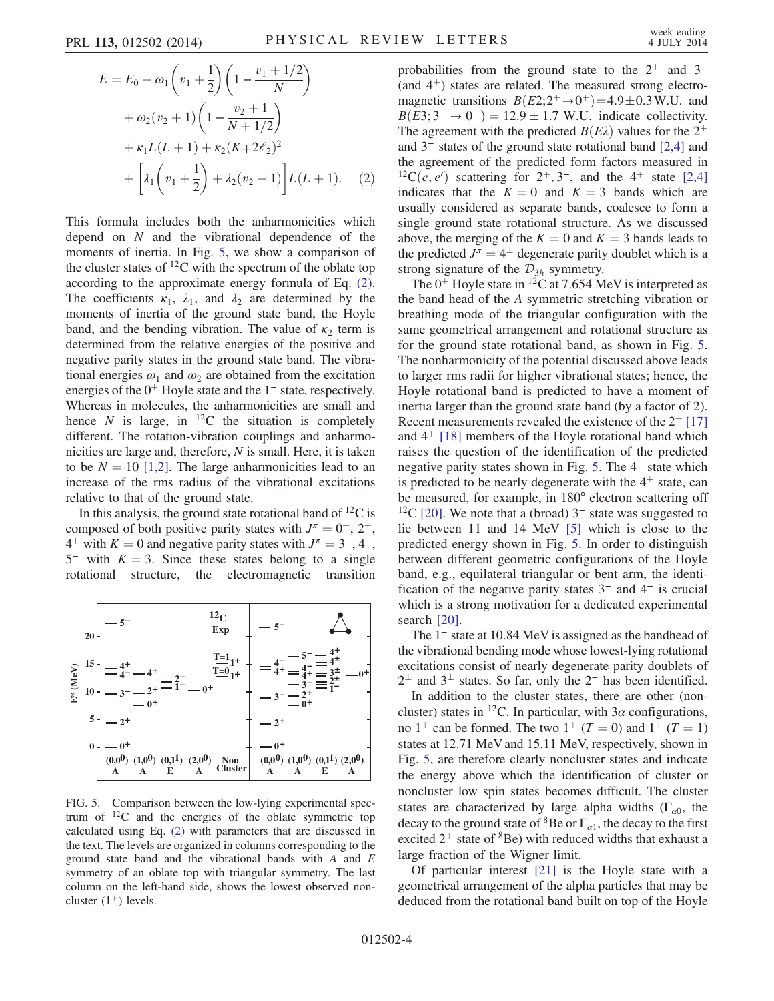$$
E = E_0 + \omega_1 \left( v_1 + \frac{1}{2} \right) \left( 1 - \frac{v_1 + 1/2}{N} \right)
$$
  
+  $\omega_2 (v_2 + 1) \left( 1 - \frac{v_2 + 1}{N + 1/2} \right)$   
+  $\kappa_1 L(L + 1) + \kappa_2 (K \mp 2\ell_2)^2$   
+  $\left[ \lambda_1 \left( v_1 + \frac{1}{2} \right) + \lambda_2 (v_2 + 1) \right] L(L + 1).$  (2)

This formula includes both the anharmonicities which depend on  $N$  and the vibrational dependence of the moments of inertia. In Fig. [5](#page-4-0), we show a comparison of the cluster states of  ${}^{12}C$  with the spectrum of the oblate top according to the approximate energy formula of Eq. [\(2\)](#page-3-2). The coefficients  $\kappa_1$ ,  $\lambda_1$ , and  $\lambda_2$  are determined by the moments of inertia of the ground state band, the Hoyle band, and the bending vibration. The value of  $\kappa_2$  term is determined from the relative energies of the positive and negative parity states in the ground state band. The vibrational energies  $\omega_1$  and  $\omega_2$  are obtained from the excitation energies of the  $0<sup>+</sup>$  Hoyle state and the  $1<sup>-</sup>$  state, respectively. Whereas in molecules, the anharmonicities are small and hence N is large, in  ${}^{12}C$  the situation is completely different. The rotation-vibration couplings and anharmonicities are large and, therefore, N is small. Here, it is taken to be  $N = 10$  [\[1,2\].](#page-5-0) The large anharmonicities lead to an increase of the rms radius of the vibrational excitations relative to that of the ground state.

In this analysis, the ground state rotational band of  ${}^{12}C$  is composed of both positive parity states with  $J^{\pi} = 0^{+}$ ,  $2^{+}$ ,  $4^+$  with  $K = 0$  and negative parity states with  $J^{\pi} = 3^-$ , 4<sup>-</sup>,  $5^-$  with  $K = 3$ . Since these states belong to a single rotational structure, the electromagnetic transition

<span id="page-4-0"></span>

FIG. 5. Comparison between the low-lying experimental spectrum of  $^{12}C$  and the energies of the oblate symmetric top calculated using Eq. [\(2\)](#page-3-2) with parameters that are discussed in the text. The levels are organized in columns corresponding to the ground state band and the vibrational bands with  $A$  and  $E$ symmetry of an oblate top with triangular symmetry. The last column on the left-hand side, shows the lowest observed noncluster  $(1^+)$  levels.

probabilities from the ground state to the  $2^+$  and 3<sup>−</sup> (and  $4^+$ ) states are related. The measured strong electromagnetic transitions  $B(E2;2^+\rightarrow 0^+) = 4.9 \pm 0.3$  W.U. and  $B(E3; 3^- \rightarrow 0^+) = 12.9 \pm 1.7$  W.U. indicate collectivity. The agreement with the predicted  $B(E\lambda)$  values for the 2<sup>+</sup> and 3<sup>−</sup> states of the ground state rotational band [\[2,4\]](#page-5-17) and the agreement of the predicted form factors measured in <sup>12</sup>C $(e, e')$  scattering for 2<sup>+</sup>, 3<sup>-</sup>, and the 4<sup>+</sup> state [\[2,4\]](#page-5-17) indicates that the  $K = 0$  and  $K = 3$  bands which are usually considered as separate bands, coalesce to form a single ground state rotational structure. As we discussed above, the merging of the  $K = 0$  and  $K = 3$  bands leads to the predicted  $J^{\pi} = 4^{\pm}$  degenerate parity doublet which is a strong signature of the  $\mathcal{D}_{3h}$  symmetry.

The  $0^+$  Hoyle state in <sup>12</sup>C at 7.654 MeV is interpreted as the band head of the A symmetric stretching vibration or breathing mode of the triangular configuration with the same geometrical arrangement and rotational structure as for the ground state rotational band, as shown in Fig. [5](#page-4-0). The nonharmonicity of the potential discussed above leads to larger rms radii for higher vibrational states; hence, the Hoyle rotational band is predicted to have a moment of inertia larger than the ground state band (by a factor of 2). Recent measurements revealed the existence of the  $2^+$  [\[17\]](#page-5-14) and  $4<sup>+</sup>$  [\[18\]](#page-5-15) members of the Hoyle rotational band which raises the question of the identification of the predicted negative parity states shown in Fig. [5.](#page-4-0) The 4<sup>−</sup> state which is predicted to be nearly degenerate with the  $4<sup>+</sup>$  state, can be measured, for example, in 180° electron scattering off <sup>12</sup>C [\[20\]](#page-5-18). We note that a (broad)  $3<sup>-</sup>$  state was suggested to lie between 11 and 14 MeV [\[5\]](#page-5-3) which is close to the predicted energy shown in Fig. [5.](#page-4-0) In order to distinguish between different geometric configurations of the Hoyle band, e.g., equilateral triangular or bent arm, the identification of the negative parity states 3<sup>−</sup> and 4<sup>−</sup> is crucial which is a strong motivation for a dedicated experimental search [\[20\]](#page-5-18).

The 1<sup>−</sup> state at 10.84 MeV is assigned as the bandhead of the vibrational bending mode whose lowest-lying rotational excitations consist of nearly degenerate parity doublets of  $2<sup>±</sup>$  and  $3<sup>±</sup>$  states. So far, only the  $2<sup>−</sup>$  has been identified.

In addition to the cluster states, there are other (noncluster) states in <sup>12</sup>C. In particular, with  $3\alpha$  configurations, no 1<sup>+</sup> can be formed. The two 1<sup>+</sup> (T = 0) and 1<sup>+</sup> (T = 1) states at 12.71 MeV and 15.11 MeV, respectively, shown in Fig. [5](#page-4-0), are therefore clearly noncluster states and indicate the energy above which the identification of cluster or noncluster low spin states becomes difficult. The cluster states are characterized by large alpha widths ( $\Gamma_{\alpha 0}$ , the decay to the ground state of <sup>8</sup>Be or  $\Gamma_{\alpha 1}$ , the decay to the first excited  $2^+$  state of  ${}^{8}$ Be) with reduced widths that exhaust a large fraction of the Wigner limit.

Of particular interest [\[21\]](#page-5-19) is the Hoyle state with a geometrical arrangement of the alpha particles that may be deduced from the rotational band built on top of the Hoyle